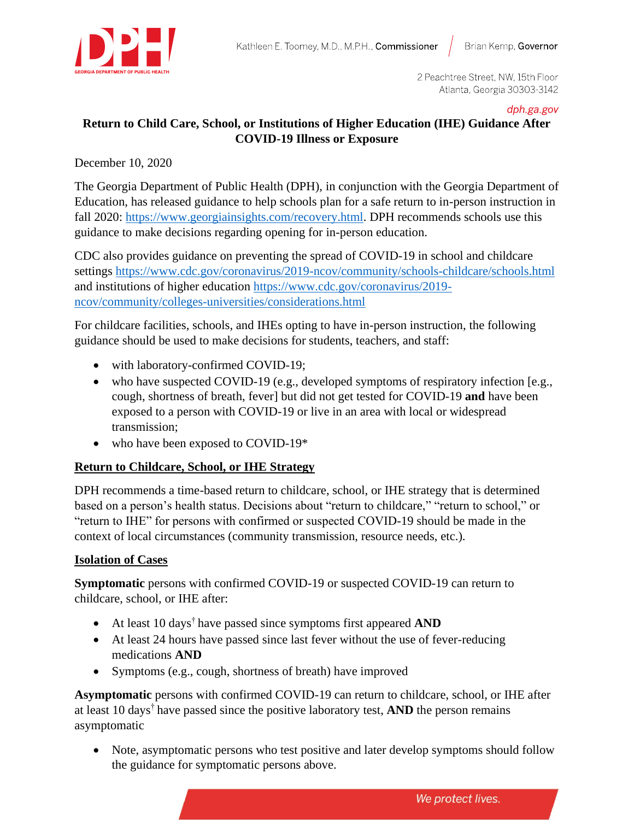

2 Peachtree Street, NW, 15th Floor Atlanta, Georgia 30303-3142

dph.ga.gov

# **Return to Child Care, School, or Institutions of Higher Education (IHE) Guidance After COVID-19 Illness or Exposure**

December 10, 2020

The Georgia Department of Public Health (DPH), in conjunction with the Georgia Department of Education, has released guidance to help schools plan for a safe return to in-person instruction in fall 2020: [https://www.georgiainsights.com/recovery.html.](https://www.georgiainsights.com/recovery.html) DPH recommends schools use this guidance to make decisions regarding opening for in-person education.

CDC also provides guidance on preventing the spread of COVID-19 in school and childcare settings<https://www.cdc.gov/coronavirus/2019-ncov/community/schools-childcare/schools.html> and institutions of higher education [https://www.cdc.gov/coronavirus/2019](https://www.cdc.gov/coronavirus/2019-ncov/community/colleges-universities/considerations.html) [ncov/community/colleges-universities/considerations.html](https://www.cdc.gov/coronavirus/2019-ncov/community/colleges-universities/considerations.html) 

For childcare facilities, schools, and IHEs opting to have in-person instruction, the following guidance should be used to make decisions for students, teachers, and staff:

- with laboratory-confirmed COVID-19;
- who have suspected COVID-19 (e.g., developed symptoms of respiratory infection [e.g., cough, shortness of breath, fever] but did not get tested for COVID-19 **and** have been exposed to a person with COVID-19 or live in an area with local or widespread transmission;
- who have been exposed to COVID-19\*

## **Return to Childcare, School, or IHE Strategy**

DPH recommends a time-based return to childcare, school, or IHE strategy that is determined based on a person's health status. Decisions about "return to childcare," "return to school," or "return to IHE" for persons with confirmed or suspected COVID-19 should be made in the context of local circumstances (community transmission, resource needs, etc.).

## **Isolation of Cases**

**Symptomatic** persons with confirmed COVID-19 or suspected COVID-19 can return to childcare, school, or IHE after:

- At least 10 days<sup>†</sup> have passed since symptoms first appeared **AND**
- At least 24 hours have passed since last fever without the use of fever-reducing medications **AND**
- Symptoms (e.g., cough, shortness of breath) have improved

**Asymptomatic** persons with confirmed COVID-19 can return to childcare, school, or IHE after at least 10 days† have passed since the positive laboratory test, **AND** the person remains asymptomatic

• Note, asymptomatic persons who test positive and later develop symptoms should follow the guidance for symptomatic persons above.

We protect lives.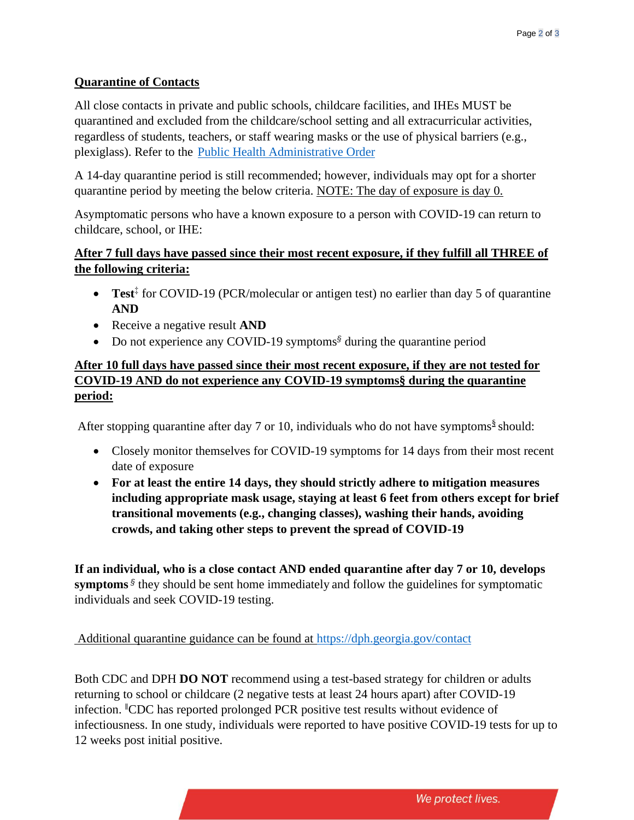#### **Quarantine of Contacts**

All close contacts in private and public schools, childcare facilities, and IHEs MUST be quarantined and excluded from the childcare/school setting and all extracurricular activities, regardless of students, teachers, or staff wearing masks or the use of physical barriers (e.g., plexiglass). Refer to the [Public Health Administrative Order](https://dph.georgia.gov/document/administrative-order/administrative-order-10-current/download)

A 14-day quarantine period is still recommended; however, individuals may opt for a shorter quarantine period by meeting the below criteria. NOTE: The day of exposure is day 0.

Asymptomatic persons who have a known exposure to a person with COVID-19 can return to childcare, school, or IHE:

## **After 7 full days have passed since their most recent exposure, if they fulfill all THREE of the following criteria:**

- **Test**<sup>‡</sup> for COVID-19 (PCR/molecular or antigen test) no earlier than day 5 of quarantine **AND**
- Receive a negative result **AND**
- Do not experience any COVID-19 symptoms<sup>§</sup> during the quarantine period

# **After 10 full days have passed since their most recent exposure, if they are not tested for COVID-19 AND do not experience any COVID-19 symptoms§ during the quarantine period:**

After stopping quarantine after day 7 or 10, individuals who do not have symptoms  $\frac{8}{3}$  should:

- Closely monitor themselves for COVID-19 symptoms for 14 days from their most recent date of exposure
- **For at least the entire 14 days, they should strictly adhere to mitigation measures including appropriate mask usage, staying at least 6 feet from others except for brief transitional movements (e.g., changing classes), washing their hands, avoiding crowds, and taking other steps to prevent the spread of COVID-19**

**If an individual, who is a close contact AND ended quarantine after day 7 or 10, develops symptoms** *§* they should be sent home immediately and follow the guidelines for symptomatic individuals and seek COVID-19 testing.

#### Additional quarantine guidance can be found at<https://dph.georgia.gov/contact>

Both CDC and DPH **DO NOT** recommend using a test-based strategy for children or adults returning to school or childcare (2 negative tests at least 24 hours apart) after COVID-19 infection. *‖*CDC has reported prolonged PCR positive test results without evidence of infectiousness. In one study, individuals were reported to have positive COVID-19 tests for up to 12 weeks post initial positive.